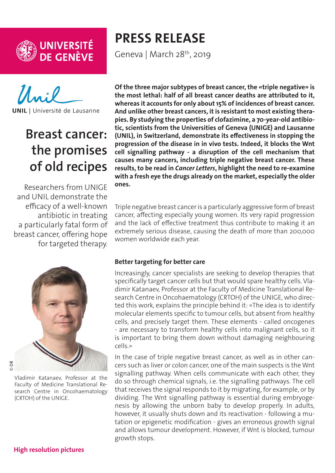



**UNIL** | Université de Lausanne

# **Breast cancer: the promises of old recipes**

Researchers from UNIGE and UNIL demonstrate the efficacy of a well-known antibiotic in treating a particularly fatal form of breast cancer, offering hope for targeted therapy.



Vladimir Katanaev, Professor at the Faculty of Medicine Translational Research Centre in Oncohaematology (CRTOH) of the UNIGE.

# **PRESS RELEASE**

Geneva | March 28<sup>th</sup>, 2019

**Of the three major subtypes of breast cancer, the «triple negative» is the most lethal: half of all breast cancer deaths are attributed to it, whereas it accounts for only about 15% of incidences of breast cancer. And unlike other breast cancers, it is resistant to most existing therapies. By studying the properties of clofazimine, a 70-year-old antibiotic, scientists from the Universities of Geneva (UNIGE) and Lausanne (UNIL), in Switzerland, demonstrate its effectiveness in stopping the progression of the disease in in vivo tests. Indeed, it blocks the Wnt cell signalling pathway - a disruption of the cell mechanism that causes many cancers, including triple negative breast cancer. These results, to be read in** *Cancer Letters***, highlight the need to re-examine with a fresh eye the drugs already on the market, especially the older ones.** 

Triple negative breast cancer is a particularly aggressive form of breast cancer, affecting especially young women. Its very rapid progression and the lack of effective treatment thus contribute to making it an extremely serious disease, causing the death of more than 200,000 women worldwide each year.

#### **Better targeting for better care**

Increasingly, cancer specialists are seeking to develop therapies that specifically target cancer cells but that would spare healthy cells. Vladimir Katanaev, Professor at the Faculty of Medicine Translational Research Centre in Oncohaematology (CRTOH) of the UNIGE, who directed this work, explains the principle behind it: «The idea is to identify molecular elements specific to tumour cells, but absent from healthy cells, and precisely target them. These elements - called oncogenes - are necessary to transform healthy cells into malignant cells, so it is important to bring them down without damaging neighbouring cells.»

In the case of triple negative breast cancer, as well as in other cancers such as liver or colon cancer, one of the main suspects is the Wnt signalling pathway. When cells communicate with each other, they do so through chemical signals, i.e. the signalling pathways. The cell that receives the signal responds to it by migrating, for example, or by dividing. The Wnt signalling pathway is essential during embryogenesis by allowing the unborn baby to develop properly. In adults, however, it usually shuts down and its reactivation - following a mutation or epigenetic modification - gives an erroneous growth signal and allows tumour development. However, if Wnt is blocked, tumour growth stops.